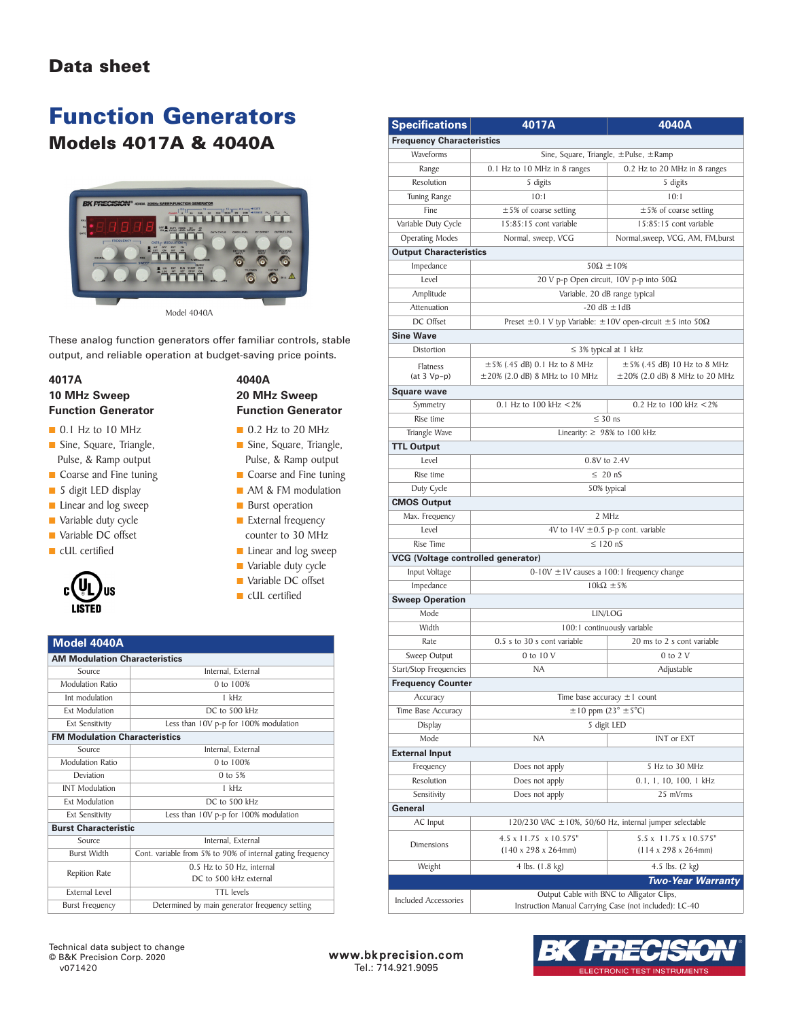### **Data sheet**

## **Function Generators Models 4017A & 4040A**



These analog function generators offer familiar controls, stable output, and reliable operation at budget-saving price points.

#### **4017A 10 MHz Sweep Function Generator**

- **■** 0.1 Hz to 10 MHz
- **■** Sine, Square, Triangle, Pulse, & Ramp output
- Coarse and Fine tuning
- **■** 5 digit LED display
- Linear and log sweep
- Variable duty cycle
- Variable DC offset
- **■** cUL certified



- **■** 0.2 Hz to 20 MHz
- **■** Sine, Square, Triangle, Pulse, & Ramp output
- Coarse and Fine tuning
- **AM & FM** modulation
- Burst operation
- External frequency counter to 30 MHz
- Linear and log sweep
- Variable duty cycle
- **■** Variable DC offset
- **■** cUL certified

#### **Model 4040A**

| <b>AM Modulation Characteristics</b> |                                                            |
|--------------------------------------|------------------------------------------------------------|
| Source                               | Internal, External                                         |
| Modulation Ratio                     | $0 \text{ to } 100\%$                                      |
| Int modulation                       | 1 kHz                                                      |
| <b>Ext Modulation</b>                | DC to 500 kHz                                              |
| <b>Ext Sensitivity</b>               | Less than 10V p-p for 100% modulation                      |
| <b>FM Modulation Characteristics</b> |                                                            |
| Source                               | Internal. External                                         |
| Modulation Ratio                     | 0 to $100%$                                                |
| Deviation                            | $0$ to 5%                                                  |
| <b>INT</b> Modulation                | 1 kHz                                                      |
| <b>Ext Modulation</b>                | DC to 500 kHz                                              |
| <b>Ext Sensitivity</b>               | Less than 10V p-p for 100% modulation                      |
| <b>Burst Characteristic</b>          |                                                            |
| Source                               | Internal. External                                         |
| <b>Burst Width</b>                   | Cont. variable from 5% to 90% of internal gating frequency |
| Repition Rate                        | 0.5 Hz to 50 Hz. internal                                  |
|                                      | DC to 500 kHz external                                     |
| External Level                       | TTI levels                                                 |
| <b>Burst Frequency</b>               | Determined by main generator frequency setting             |
|                                      |                                                            |

**Specifications 4017A 4040A Frequency Characteristics** Waveforms Sine, Square, Triangle,  $\pm$ Pulse,  $\pm$ Ramp Range 0.1 Hz to 10 MHz in 8 ranges 0.2 Hz to 20 MHz in 8 ranges Resolution 5 digits 5 digits Tuning Range 10:1 10:1 10:1 Fine  $\pm 5\%$  of coarse setting  $\pm 5\%$  of coarse setting Variable Duty Cycle 15:85:15 cont variable 15:85:15 cont variable Operating Modes Normal, sweep, VCG Normal, sweep, VCG, AM, FM, burst **Output Characteristics** Impedance  $50\Omega \pm 10\%$ Level 20 V p-p Open circuit,  $10V$  p-p into  $50\Omega$ Amplitude Variable, 20 dB range typical Attenuation  $-20 \text{ dB } \pm 1 \text{ dB}$ DC Offset Preset ±0.1 V typ Variable: ±10V open-circuit ±5 into 50Ω **Sine Wave** Distortion ≤ 3% typical at 1 kHz Flatness (at 3 Vp-p) ±5% (.45 dB) 0.1 Hz to 8 MHz ±20% (2.0 dB) 8 MHz to 10 MHz  $±5%$  (.45 dB) 10 Hz to 8 MHz ±20% (2.0 dB) 8 MHz to 20 MHz **Square wave** Symmetry 0.1 Hz to 100 kHz <2% 0.2 Hz to 100 kHz <2% Rise time  $\leq 30$  ns Triangle Wave  $\frac{1}{2}$  Linearity:  $\geq 98\%$  to 100 kHz **TTL Output** Level 0.8V to 2.4V Rise time  $\leq 20 \text{ nS}$ Duty Cycle 50% typical **CMOS Output** Max. Frequency 2 MHz Level  $4V$  to  $14V \pm 0.5$  p-p cont. variable Rise Time  $\leq 120 \text{ nS}$ **VCG (Voltage controlled generator)** Input Voltage 0-10V ±1V causes a 100:1 frequency change Impedance  $10k\Omega \pm 5\%$ **Sweep Operation** Mode LIN/LOG Width 100:1 continuously variable Rate 0.5 s to 30 s cont variable 20 ms to 2 s cont variable Sweep Output 0 to 10 V 0 to 2 V Start/Stop Frequencies NA Adjustable **Frequency Counter** Accuracy Time base accuracy  $\pm 1$  count Time Base Accuracy  $\pm 10$  ppm (23°  $\pm 5$ °C) Display 5 digit LED Mode NA INT or EXT **External Input** Frequency Does not apply 5 Hz to 30 MHz Resolution Does not apply 0.1, 1, 10, 100, 1 kHz Sensitivity Does not apply 25 mVrms **General** AC Input  $120/230$  VAC  $\pm 10%$ , 50/60 Hz, internal jumper selectable Dimensions 4.5 x 11.75 x 10.575"<br>(140 x 298 x 264mm) 5.5 x 11.75 x 10.575" (114 x 298 x 264mm) Weight  $4 \text{ lbs.} (1.8 \text{ kg})$   $4.5 \text{ lbs.} (2 \text{ kg})$ *Two-Year Warranty* Included Accessories Output Cable with BNC to Alligator Clips, Instruction Manual Carrying Case (not included): LC-40



www.bk precision.com Tel.: 714.921.9095